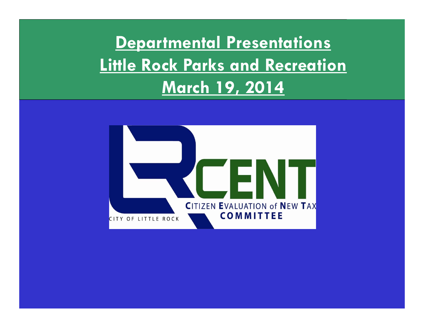## **Departmental Presentations Little Rock Parks and Recreation March 19, 2014**

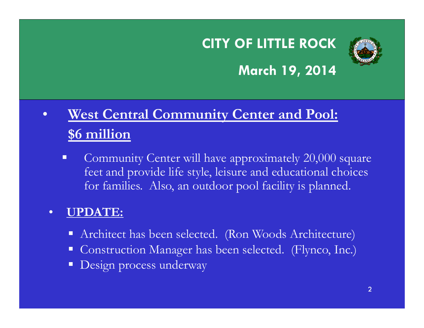

## **March 19, 2014**

### $\bullet$  **West Central Community Center and Pool: \$6 million**

 $\blacksquare$  Community Center will have approximately 20,000 square feet and provide life style, leisure and educational choices for families. Also, an outdoor pool facility is planned.

#### •**UPDATE:**

- Architect has been selected. (Ron Woods Architecture)
- Construction Manager has been selected. (Flynco, Inc.)
- **Design process underway**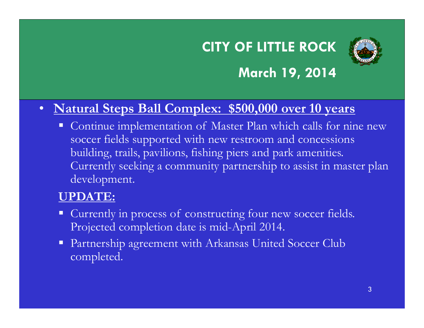

## **March 19, 2014**

### $\bullet$ **Natural Steps Ball Complex: \$500,000 over 10 years**

 Continue implementation of Master Plan which calls for nine new soccer fields supported with new restroom and concessions building, trails, pavilions, fishing piers and park amenities. Currently seeking a community partnership to assist in master plan development.

### **UPDATE:**

- Currently in process of constructing four new soccer fields. Projected completion date is mid-April 2014.
- Partnership agreement with Arkansas United Soccer Club completed.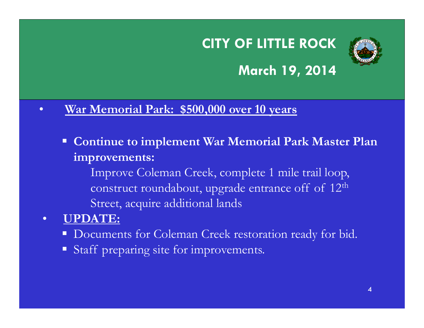

## **March 19, 2014**

#### •**War Memorial Park: \$500,000 over 10 years**

 **Continue to implement War Memorial Park Master Plan improvements:** 

Improve Coleman Creek, complete 1 mile trail loop, construct roundabout, upgrade entrance off of 12t<sup>h</sup> Street, acquire additional lands

#### •**UPDATE:**

- **Documents for Coleman Creek restoration ready for bid.**
- Staff preparing site for improvements.